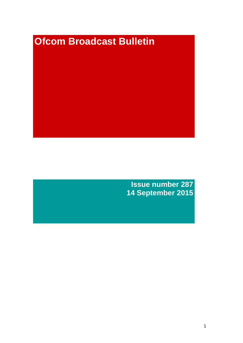# **Ofcom Broadcast Bulletin**

**Issue number 287 14 September 2015**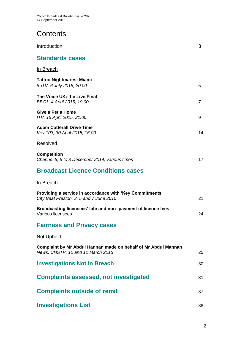# **Contents**

| Introduction                                                                                        | 3  |
|-----------------------------------------------------------------------------------------------------|----|
| <b>Standards cases</b>                                                                              |    |
| <u>In Breach</u>                                                                                    |    |
| <b>Tattoo Nightmares: Miami</b><br>truTV, 6 July 2015, 20:00                                        | 5  |
| The Voice UK: the Live Final<br>BBC1, 4 April 2015, 19:00                                           | 7  |
| Give a Pet a Home<br>ITV, 15 April 2015, 21:00                                                      | 9  |
| <b>Adam Catterall Drive Time</b><br>Key 103, 30 April 2015, 16:00                                   | 14 |
| Resolved                                                                                            |    |
| <b>Competition</b><br>Channel 5, 5 to 8 December 2014, various times                                | 17 |
| <b>Broadcast Licence Conditions cases</b>                                                           |    |
| In Breach                                                                                           |    |
| Providing a service in accordance with 'Key Commitments'<br>City Beat Preston, 3, 5 and 7 June 2015 | 21 |
| Broadcasting licensees' late and non-payment of licence fees<br>Various licensees                   | 24 |
| <b>Fairness and Privacy cases</b>                                                                   |    |
| <b>Not Upheld</b>                                                                                   |    |
| Complaint by Mr Abdul Hannan made on behalf of Mr Abdul Mannan<br>News, CHSTV, 10 and 11 March 2015 | 25 |
| <b>Investigations Not in Breach</b>                                                                 | 30 |
| <b>Complaints assessed, not investigated</b>                                                        | 31 |
| <b>Complaints outside of remit</b>                                                                  | 37 |
| <b>Investigations List</b>                                                                          | 38 |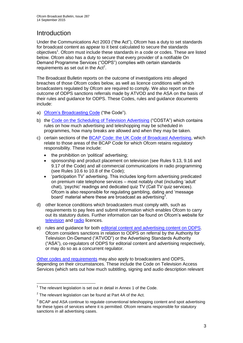# **Introduction**

Under the Communications Act 2003 ("the Act"), Ofcom has a duty to set standards for broadcast content as appear to it best calculated to secure the standards objectives<sup>1</sup>. Ofcom must include these standards in a code or codes. These are listed below. Ofcom also has a duty to secure that every provider of a notifiable On Demand Programme Services ("ODPS") complies with certain standards requirements as set out in the  $Act<sup>2</sup>$ .

The Broadcast Bulletin reports on the outcome of investigations into alleged breaches of those Ofcom codes below, as well as licence conditions with which broadcasters regulated by Ofcom are required to comply. We also report on the outcome of ODPS sanctions referrals made by ATVOD and the ASA on the basis of their rules and guidance for ODPS. These Codes, rules and guidance documents include:

- a) [Ofcom's Broadcasting Code](http://stakeholders.ofcom.org.uk/broadcasting/broadcast-codes/broadcast-code/) ("the Code").
- b) the [Code on the Scheduling](http://stakeholders.ofcom.org.uk/broadcasting/broadcast-codes/advert-code/) of Television Advertising ("COSTA") which contains rules on how much advertising and teleshopping may be scheduled in programmes, how many breaks are allowed and when they may be taken.
- c) certain sections of the [BCAP Code: the UK Code of Broadcast Advertising,](https://www.cap.org.uk/Advertising-Codes/Broadcast.aspx) which relate to those areas of the BCAP Code for which Ofcom retains regulatory responsibility. These include:
	- the prohibition on 'political' advertising:
	- sponsorship and product placement on television (see Rules 9.13, 9.16 and 9.17 of the Code) and all commercial communications in radio programming (see Rules 10.6 to 10.8 of the Code);
	- 'participation TV' advertising. This includes long-form advertising predicated on premium rate telephone services – most notably chat (including 'adult' chat), 'psychic' readings and dedicated quiz TV (Call TV quiz services). Ofcom is also responsible for regulating gambling, dating and 'message board' material where these are broadcast as advertising<sup>3</sup>.
- d) other licence conditions which broadcasters must comply with, such as requirements to pay fees and submit information which enables Ofcom to carry out its statutory duties. Further information can be found on Ofcom's website for [television](http://licensing.ofcom.org.uk/tv-broadcast-licences/) and [radio](http://licensing.ofcom.org.uk/radio-broadcast-licensing/) licences.
- e) rules and guidance for both [editorial content and advertising content on ODPS.](http://www.atvod.co.uk/uploads/files/ATVOD_Rules_and_Guidance_Ed_2.0_May_2012.pdf) Ofcom considers sanctions in relation to ODPS on referral by the Authority for Television On-Demand ("ATVOD") or the Advertising Standards Authority ("ASA"), co-regulators of ODPS for editorial content and advertising respectively, or may do so as a concurrent regulator.

[Other codes and requirements](http://stakeholders.ofcom.org.uk/broadcasting/broadcast-codes/) may also apply to broadcasters and ODPS, depending on their circumstances. These include the Code on Television Access Services (which sets out how much subtitling, signing and audio description relevant

<sup>1</sup>  $1$  The relevant legislation is set out in detail in Annex 1 of the Code.

 $2$  The relevant legislation can be found at Part 4A of the Act.

 $3$  BCAP and ASA continue to regulate conventional teleshopping content and spot advertising for these types of services where it is permitted. Ofcom remains responsible for statutory sanctions in all advertising cases.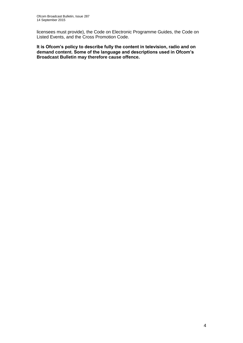licensees must provide), the Code on Electronic Programme Guides, the Code on Listed Events, and the Cross Promotion Code.

**It is Ofcom's policy to describe fully the content in television, radio and on demand content. Some of the language and descriptions used in Ofcom's Broadcast Bulletin may therefore cause offence.**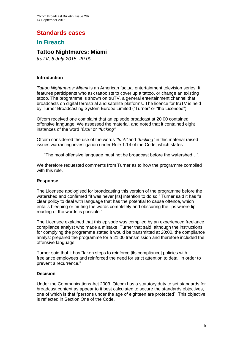# **Standards cases**

## **In Breach**

## **Tattoo Nightmares: Miami**

*truTV, 6 July 2015, 20:00*

#### **Introduction**

*Tattoo Nightmares: Miami* is an American factual entertainment television series. It features participants who ask tattooists to cover up a tattoo, or change an existing tattoo. The programme is shown on truTV, a general entertainment channel that broadcasts on digital terrestrial and satellite platforms. The licence for truTV is held by Turner Broadcasting System Europe Limited ("Turner" or "the Licensee").

Ofcom received one complaint that an episode broadcast at 20:00 contained offensive language. We assessed the material, and noted that it contained eight instances of the word *"fuck"* or *"fucking"*.

Ofcom considered the use of the words *"fuck"* and *"fucking"* in this material raised issues warranting investigation under Rule 1.14 of the Code, which states:

"The most offensive language must not be broadcast before the watershed…".

We therefore requested comments from Turner as to how the programme complied with this rule.

#### **Response**

The Licensee apologised for broadcasting this version of the programme before the watershed and confirmed "it was never [its] intention to do so." Turner said it has "a clear policy to deal with language that has the potential to cause offence, which entails bleeping or muting the words completely and obscuring the lips where lip reading of the words is possible."

The Licensee explained that this episode was complied by an experienced freelance compliance analyst who made a mistake. Turner that said, although the instructions for complying the programme stated it would be transmitted at 20:00, the compliance analyst prepared the programme for a 21:00 transmission and therefore included the offensive language.

Turner said that it has "taken steps to reinforce [its compliance] policies with freelance employees and reinforced the need for strict attention to detail in order to prevent a recurrence."

#### **Decision**

Under the Communications Act 2003, Ofcom has a statutory duty to set standards for broadcast content as appear to it best calculated to secure the standards objectives, one of which is that "persons under the age of eighteen are protected". This objective is reflected in Section One of the Code.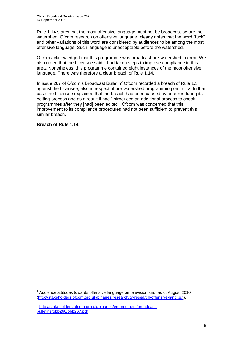Rule 1.14 states that the most offensive language must not be broadcast before the watershed. Ofcom research on offensive language<sup>1</sup> clearly notes that the word "fuck" and other variations of this word are considered by audiences to be among the most offensive language. Such language is unacceptable before the watershed.

Ofcom acknowledged that this programme was broadcast pre-watershed in error. We also noted that the Licensee said it had taken steps to improve compliance in this area. Nonetheless, this programme contained eight instances of the most offensive language. There was therefore a clear breach of Rule 1.14.

In issue 267 of Ofcom's Broadcast Bulletin<sup>2</sup> Ofcom recorded a breach of Rule 1.3 against the Licensee, also in respect of pre-watershed programming on truTV. In that case the Licensee explained that the breach had been caused by an error during its editing process and as a result it had "introduced an additional process to check programmes after they [had] been edited". Ofcom was concerned that this improvement to its compliance procedures had not been sufficient to prevent this similar breach.

**Breach of Rule 1.14**

<sup>1</sup>  $1$  Audience attitudes towards offensive language on television and radio, August 2010 [\(http://stakeholders.ofcom.org.uk/binaries/research/tv-research/offensive-lang.pdf\)](http://stakeholders.ofcom.org.uk/binaries/research/tv-research/offensive-lang.pdf).

<sup>&</sup>lt;sup>2</sup> [http://stakeholders.ofcom.org.uk/binaries/enforcement/broadcast](http://stakeholders.ofcom.org.uk/binaries/enforcement/broadcast-bulletins/obb268/obb267.pdf)[bulletins/obb268/obb267.pdf](http://stakeholders.ofcom.org.uk/binaries/enforcement/broadcast-bulletins/obb268/obb267.pdf)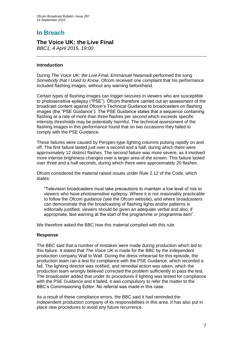# **In Breach**

## **The Voice UK: the Live Final**

*BBC1, 4 April 2015, 19:00*

## **Introduction**

During *The Voice UK: the Live Final*, Emmanuel Nwamadi performed the song *Somebody that I Used to Know*. Ofcom received one complaint that his performance included flashing images, without any warning beforehand.

Certain types of flashing images can trigger seizures in viewers who are susceptible to photosensitive epilepsy ("PSE"). Ofcom therefore carried out an assessment of the broadcast content against Ofcom's Technical Guidance to broadcasters on flashing images (the "PSE Guidance"). The PSE Guidance states that a sequence containing flashing at a rate of more than three flashes per second which exceeds specific intensity thresholds may be potentially harmful. The technical assessment of the flashing images in this performance found that on two occasions they failed to comply with the PSE Guidance.

These failures were caused by Perspex-type lighting columns pulsing rapidly on and off. The first failure lasted just over a second and a half, during which there were approximately 12 distinct flashes. The second failure was more severe, as it involved more intense brightness changes over a larger area of the screen. This failure lasted over three and a half seconds, during which there were approximately 20 flashes.

Ofcom considered the material raised issues under Rule 2.12 of the Code, which states:

"Television broadcasters must take precautions to maintain a low level of risk to viewers who have photosensitive epilepsy. Where it is not reasonably practicable to follow the Ofcom guidance (see the Ofcom website), and where broadcasters can demonstrate that the broadcasting of flashing lights and/or patterns is editorially justified, viewers should be given an adequate verbal and also, if appropriate, text warning at the start of the programme or programme item".

We therefore asked the BBC how this material complied with this rule.

## **Response**

The BBC said that a number of mistakes were made during production which led to this failure. It stated that *The Voice UK* is made for the BBC by the independent production company Wall to Wall. During the dress rehearsal for this episode, the production team ran a test for compliance with the PSE Guidance, which recorded a fail. The lighting director was notified, and remedial action was taken, which the production team wrongly believed corrected the problem sufficiently to pass the test. The broadcaster added that under its procedures if lighting was tested for compliance with the PSE Guidance and it failed, it was compulsory to refer the matter to the BBC's Commissioning Editor. No referral was made in this case.

As a result of these compliance errors, the BBC said it had reminded the independent production company of its responsibilities in this area. It has also put in place new procedures to avoid any future recurrence.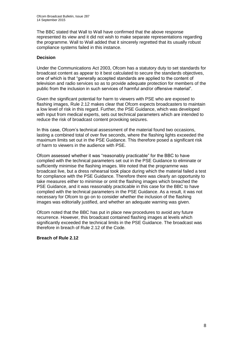The BBC stated that Wall to Wall have confirmed that the above response represented its view and it did not wish to make separate representations regarding the programme. Wall to Wall added that it sincerely regretted that its usually robust compliance systems failed in this instance.

## **Decision**

Under the Communications Act 2003, Ofcom has a statutory duty to set standards for broadcast content as appear to it best calculated to secure the standards objectives, one of which is that "generally accepted standards are applied to the content of television and radio services so as to provide adequate protection for members of the public from the inclusion in such services of harmful and/or offensive material".

Given the significant potential for harm to viewers with PSE who are exposed to flashing images, Rule 2.12 makes clear that Ofcom expects broadcasters to maintain a low level of risk in this regard. Further, the PSE Guidance, which was developed with input from medical experts, sets out technical parameters which are intended to reduce the risk of broadcast content provoking seizures.

In this case, Ofcom's technical assessment of the material found two occasions, lasting a combined total of over five seconds, where the flashing lights exceeded the maximum limits set out in the PSE Guidance. This therefore posed a significant risk of harm to viewers in the audience with PSE.

Ofcom assessed whether it was "reasonably practicable" for the BBC to have complied with the technical parameters set out in the PSE Guidance to eliminate or sufficiently minimise the flashing images. We noted that the programme was broadcast live, but a dress rehearsal took place during which the material failed a test for compliance with the PSE Guidance. Therefore there was clearly an opportunity to take measures either to minimise or omit the flashing images which breached the PSE Guidance, and it was reasonably practicable in this case for the BBC to have complied with the technical parameters in the PSE Guidance. As a result, it was not necessary for Ofcom to go on to consider whether the inclusion of the flashing images was editorially justified, and whether an adequate warning was given.

Ofcom noted that the BBC has put in place new procedures to avoid any future recurrence. However, this broadcast contained flashing images at levels which significantly exceeded the technical limits in the PSE Guidance. The broadcast was therefore in breach of Rule 2.12 of the Code.

## **Breach of Rule 2.12**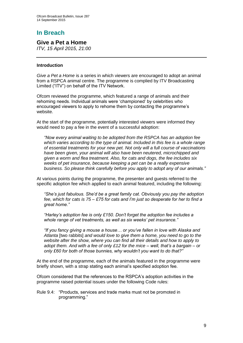# **In Breach**

**Give a Pet a Home**

*ITV, 15 April 2015, 21:00*

## **Introduction**

*Give a Pet a Home* is a series in which viewers are encouraged to adopt an animal from a RSPCA animal centre. The programme is complied by ITV Broadcasting Limited ("ITV") on behalf of the ITV Network.

Ofcom reviewed the programme, which featured a range of animals and their rehoming needs. Individual animals were 'championed' by celebrities who encouraged viewers to apply to rehome them by contacting the programme's website.

At the start of the programme, potentially interested viewers were informed they would need to pay a fee in the event of a successful adoption:

*"Now every animal waiting to be adopted from the RSPCA has an adoption fee which varies according to the type of animal. Included in this fee is a whole range of essential treatments for your new pet. Not only will a full course of vaccinations have been given, your animal will also have been neutered, microchipped and given a worm and flea treatment. Also, for cats and dogs, the fee includes six weeks of pet insurance, because keeping a pet can be a really expensive business. So please think carefully before you apply to adopt any of our animals."*

At various points during the programme, the presenter and guests referred to the specific adoption fee which applied to each animal featured, including the following:

*"She's just fabulous. She'd be a great family cat. Obviously you pay the adoption fee, which for cats is 75 – £75 for cats and I'm just so desperate for her to find a great home."* 

*"Harley's adoption fee is only £150. Don't forget the adoption fee includes a whole range of vet treatments, as well as six weeks' pet insurance."*

*"If you fancy giving a mouse a house… or you've fallen in love with Alaska and Atlanta* [two rabbits] *and would love to give them a home, you need to go to the website after the show, where you can find all their details and how to apply to adopt them. And with a fee of only £12 for the mice – well, that's a bargain – or only £60 for both of those bunnies, why wouldn't you want to do that?"*

At the end of the programme, each of the animals featured in the programme were briefly shown, with a strap stating each animal's specified adoption fee.

Ofcom considered that the references to the RSPCA's adoption activities in the programme raised potential issues under the following Code rules:

Rule 9.4: "Products, services and trade marks must not be promoted in programming."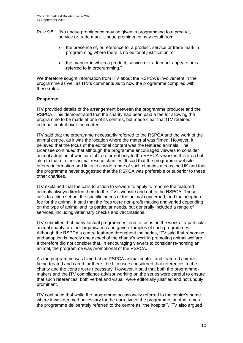- Rule 9.5: "No undue prominence may be given in programming to a product, service or trade mark. Undue prominence may result from:
	- the presence of, or reference to, a product, service or trade mark in programming where there is no editorial justification; or
	- the manner in which a product, service or trade mark appears or is referred to in programming."

We therefore sought information from ITV about the RSPCA's involvement in the programme as well as ITV's comments as to how the programme complied with these rules.

## **Response**

ITV provided details of the arrangement between the programme producer and the RSPCA. This demonstrated that the charity had been paid a fee for allowing the programme to be made at one of its centres, but made clear that ITV retained editorial control over the content.

ITV said that the programme necessarily referred to the RSPCA and the work of the animal centre, as it was the location where the material was filmed. However, it believed that the focus of the editorial content was the featured animals. The Licensee continued that although the programme encouraged viewers to consider animal adoption, it was careful to refer not only to the RSPCA's work in this area but also to that of other animal rescue charities. It said that the programme website offered information and links to a wide range of such charities across the UK and that the programme never suggested that the RSPCA was preferable or superior to these other charities.

ITV explained that the calls to action to viewers to apply to rehome the featured animals always directed them to the ITV's website and not to the RSPCA. These calls to action set out the specific needs of the animal concerned, and the adoption fee for the animal. It said that the fees were non-profit making and varied depending on the type of animal and its particular needs, but generally included a range of services, including veterinary checks and vaccinations.

ITV submitted that many factual programmes tend to focus on the work of a particular animal charity or other organisation and gave examples of such programmes. Although the RSPCA's centre featured throughout the series, ITV said that rehoming and adoption is merely one aspect of the charity's work in promoting animal welfare. It therefore did not consider that, in encouraging viewers to consider re-homing an animal, the programme was promotional of the RSPCA.

As the programme was filmed at an RSPCA animal centre, and featured animals being treated and cared for there, the Licensee considered that references to the charity and the centre were necessary. However, it said that both the programmemakers and the ITV compliance advisor working on the series were careful to ensure that such references, both verbal and visual, were editorially justified and not unduly prominent.

ITV continued that while the programme occasionally referred to the centre's name where it was deemed necessary for the narrative of the programme, at other times the programme deliberately referred to the centre as "the hospital". ITV also argued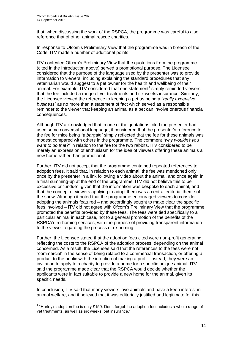1

that, when discussing the work of the RSPCA, the programme was careful to also reference that of other animal rescue charities.

In response to Ofcom's Preliminary View that the programme was in breach of the Code, ITV made a number of additional points.

ITV contested Ofcom's Preliminary View that the quotations from the programme (cited in the Introduction above) served a promotional purpose. The Licensee considered that the purpose of the language used by the presenter was to provide information to viewers, including explaining the standard procedures that any veterinarian would suggest to a pet owner for the health and wellbeing of their animal. For example,  $ITV$  considered that one statement<sup>1</sup> simply reminded viewers that the fee included a range of vet treatments and six weeks insurance. Similarly, the Licensee viewed the reference to keeping a pet as being a *"really expensive business"* as no more than a statement of fact which served as a responsible reminder to the viewer that keeping an animal as a pet can involve onerous financial consequences.

Although ITV acknowledged that in one of the quotations cited the presenter had used some conversational language, it considered that the presenter's reference to the fee for mice being *"a bargain"* simply reflected that the fee for these animals was modest compared with others in the programme. The comment *"why wouldn't you want to do that?"* in relation to the fee for the two rabbits, ITV considered to be merely an expression of enthusiasm for the idea of viewers offering these animals a new home rather than promotional.

Further, ITV did not accept that the programme contained repeated references to adoption fees. It said that, in relation to each animal, the fee was mentioned only once by the presenter in a link following a video about the animal, and once again in a final summing-up at the end of the programme. ITV did not believe this to be excessive or "undue", given that the information was bespoke to each animal, and that the concept of viewers applying to adopt them was a central editorial theme of the show. Although it noted that the programme encouraged viewers to consider adopting the animals featured – and accordingly sought to make clear the specific fees involved – ITV did not agree with Ofcom's Preliminary View that the programme promoted the benefits provided by these fees. The fees were tied specifically to a particular animal in each case, not to a general promotion of the benefits of the RSPCA's re-homing services, with the purpose of providing transparent information to the viewer regarding the process of re-homing.

Further, the Licensee stated that the adoption fees cited were non-profit generating, reflecting the costs to the RSPCA of the adoption process, depending on the animal concerned. As a result, the Licensee said that the references to the fees were not "commercial' in the sense of being related to a commercial transaction, or offering a product to the public with the intention of making a profit. Instead, they were an invitation to apply to a charity to provide a home for a specific unique animal. ITV said the programme made clear that the RSPCA would decide whether the applicants were in fact suitable to provide a new home for the animal, given its specific needs.

In conclusion, ITV said that many viewers love animals and have a keen interest in animal welfare, and it believed that it was editorially justified and legitimate for this

<sup>&</sup>lt;sup>1</sup> "Harley's adoption fee is only £150. Don't forget the adoption fee includes a whole range of vet treatments, as well as six weeks' pet insurance."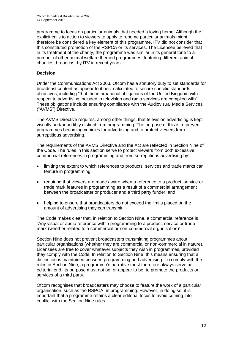programme to focus on particular animals that needed a loving home. Although the explicit calls to action to viewers to apply to rehome particular animals might therefore be considered a key element of this programme, ITV did not consider that this constituted promotion of the RSPCA or its services. The Licensee believed that in its treatment of the charity, the programme was similar in its general tone to a number of other animal welfare themed programmes, featuring different animal charities, broadcast by ITV in recent years.

## **Decision**

Under the Communications Act 2003, Ofcom has a statutory duty to set standards for broadcast content as appear to it best calculated to secure specific standards objectives, including "that the international obligations of the United Kingdom with respect to advertising included in television and radio services are complied with". These obligations include ensuring compliance with the Audiovisual Media Services ("AVMS") Directive.

The AVMS Directive requires, among other things, that television advertising is kept visually and/or audibly distinct from programming. The purpose of this is to prevent programmes becoming vehicles for advertising and to protect viewers from surreptitious advertising.

The requirements of the AVMS Directive and the Act are reflected in Section Nine of the Code. The rules in this section serve to protect viewers from both excessive commercial references in programming and from surreptitious advertising by:

- limiting the extent to which references to products, services and trade marks can feature in programming;
- requiring that viewers are made aware when a reference to a product, service or trade mark features in programming as a result of a commercial arrangement between the broadcaster or producer and a third party funder; and
- helping to ensure that broadcasters do not exceed the limits placed on the amount of advertising they can transmit.

The Code makes clear that, in relation to Section Nine, a commercial reference is "Any visual or audio reference within programming to a product, service or trade mark (whether related to a commercial or non-commercial organisation)".

Section Nine does not prevent broadcasters transmitting programmes about particular organisations (whether they are commercial or non-commercial in nature). Licensees are free to cover whatever subjects they wish in programmes, provided they comply with the Code. In relation to Section Nine, this means ensuring that a distinction is maintained between programming and advertising. To comply with the rules in Section Nine, a programme's narrative must therefore always serve an editorial end: its purpose must not be, or appear to be, to promote the products or services of a third party.

Ofcom recognises that broadcasters may choose to feature the work of a particular organisation, such as the RSPCA, in programming. However, in doing so, it is important that a programme retains a clear editorial focus to avoid coming into conflict with the Section Nine rules.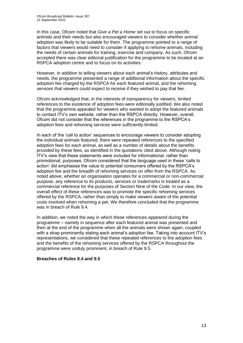In this case, Ofcom noted that *Give a Pet a Home* set out to focus on specific animals and their needs but also encouraged viewers to consider whether animal adoption was likely to be suitable for them. The programme pointed to a range of factors that viewers would need to consider if applying to rehome animals, including the needs of certain animals for training, exercise and company. As such, Ofcom accepted there was clear editorial justification for the programme to be located at an RSPCA adoption centre and to focus on its activities.

However, in addition to telling viewers about each animal's history, attributes and needs, the programme presented a range of additional information about the specific adoption fee charged by the RSPCA for each featured animal, and the rehoming services that viewers could expect to receive if they wished to pay that fee.

Ofcom acknowledged that, in the interests of transparency for viewers, limited references to the existence of adoption fees were editorially justified. We also noted that the programme appealed for viewers who wanted to adopt the featured animals to contact ITV's own website, rather than the RSPCA directly. However, overall, Ofcom did not consider that the references in the programme to the RSPCA's adoption fees and rehoming services were sufficiently limited.

In each of the 'call to action' sequences to encourage viewers to consider adopting the individual animals featured, there were repeated references to the specified adoption fees for each animal, as well as a number of details about the benefits provided by these fees, as identified in the quotations cited above. Although noting ITV's view that these statements were included for informational, rather than promotional, purposes, Ofcom considered that the language used in these 'calls to action' did emphasise the value to potential consumers offered by the RSPCA's adoption fee and the breadth of rehoming services on offer from the RSPCA. As noted above, whether an organisation operates for a commercial or non-commercial purpose, any reference to its products, services or trademarks is treated as a commercial reference for the purposes of Section Nine of the Code. In our view, the overall effect of these references was to promote the specific rehoming services offered by the RSPCA, rather than simply to make viewers aware of the potential costs involved when rehoming a pet. We therefore concluded that the programme was in breach of Rule 9.4.

In addition, we noted the way in which these references appeared during the programme – namely in sequence after each featured animal was presented and then at the end of the programme when all the animals were shown again, coupled with a strap prominently stating each animal's adoption fee. Taking into account ITV's representations, we considered that these repeated references to the adoption fees and the benefits of the rehoming services offered by the RSPCA throughout the programme were unduly prominent, in breach of Rule 9.5.

## **Breaches of Rules 9.4 and 9.5**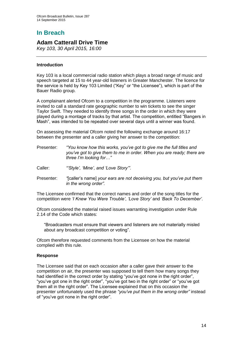# **In Breach**

## **Adam Catterall Drive Time**

*Key 103, 30 April 2015, 16:00*

## **Introduction**

Key 103 is a local commercial radio station which plays a broad range of music and speech targeted at 15 to 44 year-old listeners in Greater Manchester. The licence for the service is held by Key 103 Limited ("Key" or "the Licensee"), which is part of the Bauer Radio group.

A complainant alerted Ofcom to a competition in the programme. Listeners were invited to call a standard rate geographic number to win tickets to see the singer Taylor Swift. They needed to identify three songs in the order in which they were played during a montage of tracks by that artist. The competition, entitled "Bangers in Mash", was intended to be repeated over several days until a winner was found.

On assessing the material Ofcom noted the following exchange around 16:17 between the presenter and a caller giving her answer to the competition:

- Presenter: *"You know how this works, you've got to give me the full titles and you've got to give them to me in order. When you are ready; there are three I'm looking for…"*
- Caller: *"'Style', 'Mine', and 'Love Story'".*
- Presenter: *"*[caller's name] *your ears are not deceiving you, but you've put them in the wrong order".*

The Licensee confirmed that the correct names and order of the song titles for the competition were *'I Knew You Were Trouble'*, *'Love Story'* and *'Back To December'*.

Ofcom considered the material raised issues warranting investigation under Rule 2.14 of the Code which states:

"Broadcasters must ensure that viewers and listeners are not materially misled about any broadcast competition or voting".

Ofcom therefore requested comments from the Licensee on how the material complied with this rule.

## **Response**

The Licensee said that on each occasion after a caller gave their answer to the competition on air, the presenter was supposed to tell them how many songs they had identified in the correct order by stating "you've got none in the right order", "you've got one in the right order", "you've got two in the right order" or "you've got them all in the right order". The Licensee explained that on this occasion the presenter unfortunately used the phrase *"you've put them in the wrong order"* instead of "you've got none in the right order".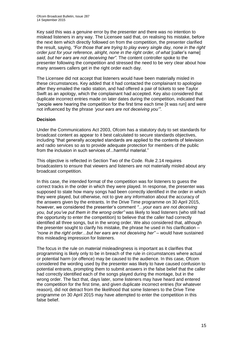Key said this was a genuine error by the presenter and there was no intention to mislead listeners in any way. The Licensee said that, on realising his mistake, before the next item which directly followed on from the competition, the presenter clarified the result, saying, *"For those that are trying to play every single day, none in the right order just for your reference, alright, none in the right order, of what* [caller's name] *said, but her ears are not deceiving her".* The content controller spoke to the presenter following the competition and stressed the need to be very clear about how many answers callers get in the right order each day.

The Licensee did not accept that listeners would have been materially misled in these circumstances. Key added that it had contacted the complainant to apologise after they emailed the radio station, and had offered a pair of tickets to see Taylor Swift as an apology, which the complainant had accepted. Key also considered that duplicate incorrect entries made on later dates during the competition, indicated that "people were hearing the competition for the first time each time [it was run] and were not influenced by the phrase *'your ears are not deceiving you'"*.

## **Decision**

Under the Communications Act 2003, Ofcom has a statutory duty to set standards for broadcast content as appear to it best calculated to secure standards objectives, including "that generally accepted standards are applied to the contents of television and radio services so as to provide adequate protection for members of the public from the inclusion in such services of...harmful material."

This objective is reflected in Section Two of the Code. Rule 2.14 requires broadcasters to ensure that viewers and listeners are not materially misled about any broadcast competition.

In this case, the intended format of the competition was for listeners to guess the correct tracks in the order in which they were played. In response, the presenter was supposed to state how many songs had been correctly identified in the order in which they were played, but otherwise, not to give any information about the accuracy of the answers given by the entrants. In the Drive Time programme on 30 April 2015, however, we considered the presenter's comment *"*…*your ears are not deceiving you, but you've put them in the wrong order"* was likely to lead listeners (who still had the opportunity to enter the competition) to believe that the caller had correctly identified all three songs, but in the wrong order. We also considered that, although the presenter sought to clarify his mistake, the phrase he used in his clarification – *"none in the right order…but her ears are not deceiving her" –* would have sustained this misleading impression for listeners.

The focus in the rule on *material* misleadingness is important as it clarifies that programming is likely only to be in breach of the rule in circumstances where actual or potential harm (or offence) may be caused to the audience. In this case, Ofcom considered the wording used by the presenter was likely to have caused confusion to potential entrants, prompting them to submit answers in the false belief that the caller had correctly identified each of the songs played during the montage, but in the wrong order. The fact that, days later, some listeners may have heard and entered the competition for the first time, and given duplicate incorrect entries (for whatever reason), did not detract from the likelihood that some listeners to the Drive Time programme on 30 April 2015 may have attempted to enter the competition in this false belief.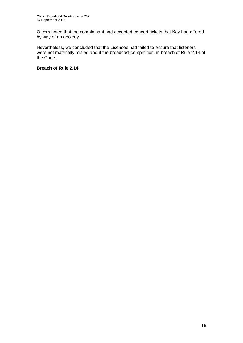Ofcom noted that the complainant had accepted concert tickets that Key had offered by way of an apology.

Nevertheless, we concluded that the Licensee had failed to ensure that listeners were not materially misled about the broadcast competition, in breach of Rule 2.14 of the Code.

**Breach of Rule 2.14**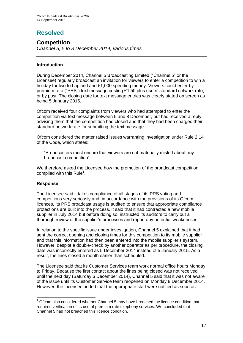# **Resolved**

## **Competition**

*Channel 5, 5 to 8 December 2014, various times*

## **Introduction**

During December 2014, Channel 5 Broadcasting Limited ("Channel 5" or the Licensee) regularly broadcast an invitation for viewers to enter a competition to win a holiday for two to Lapland and £1,000 spending money. Viewers could enter by premium rate ("PRS") text message costing £1.50 plus users' standard network rate, or by post. The closing date for text message entries was clearly stated on screen as being 5 January 2015.

Ofcom received four complaints from viewers who had attempted to enter the competition via text message between 5 and 8 December, but had received a reply advising them that the competition had closed and that they had been charged their standard network rate for submitting the text message.

Ofcom considered the matter raised issues warranting investigation under Rule 2.14 of the Code, which states:

"Broadcasters must ensure that viewers are not materially misled about any broadcast competition".

We therefore asked the Licensee how the promotion of the broadcast competition complied with this Rule<sup>1</sup>.

## **Response**

The Licensee said it takes compliance of all stages of its PRS voting and competitions very seriously and, in accordance with the provisions of its Ofcom licences, its PRS broadcast usage is audited to ensure that appropriate compliance protections are built into the process. It said that it had contracted a new mobile supplier in July 2014 but before doing so, instructed its auditors to carry out a thorough review of the supplier's processes and report any potential weaknesses.

In relation to the specific issue under investigation, Channel 5 explained that it had sent the correct opening and closing times for this competition to its mobile supplier and that this information had then been entered into the mobile supplier's system. However, despite a double-check by another operator as per procedure, the closing date was incorrectly entered as 5 December 2014 instead of 5 January 2015. As a result, the lines closed a month earlier than scheduled.

The Licensee said that its Customer Services team work normal office hours Monday to Friday. Because the first contact about the lines being closed was not received until the next day (Saturday 6 December 2014), Channel 5 said that it was not aware of the issue until its Customer Service team reopened on Monday 8 December 2014. However, the Licensee added that the appropriate staff were notified as soon as

<sup>1</sup>  $<sup>1</sup>$  Ofcom also considered whether Channel 5 may have breached the licence condition that</sup> requires verification of its use of premium rate telephony services. We concluded that Channel 5 had not breached this licence condition.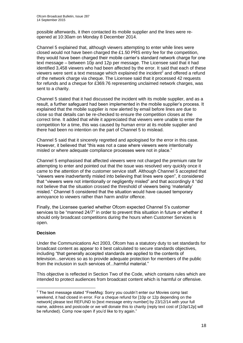possible afterwards, it then contacted its mobile supplier and the lines were reopened at 10:30am on Monday 8 December 2014.

Channel 5 explained that, although viewers attempting to enter while lines were closed would not have been charged the £1.50 PRS entry fee for the competition, they would have been charged their mobile carrier's standard network charge for one text message – between 10p and 12p per message. The Licensee said that it had identified 3,458 viewers who had been affected by the error. It said that each of these viewers were sent a text message which explained the incident<sup>2</sup> and offered a refund of the network charge via cheque. The Licensee said that it processed 42 requests for refunds and a cheque for £369.76 representing unclaimed network charges, was sent to a charity.

Channel 5 stated that it had discussed the incident with its mobile supplier, and as a result, a further safeguard had been implemented in the mobile supplier's process. It explained that the mobile supplier is now alerted by email before lines are due to close so that details can be re-checked to ensure the competition closes at the correct time. It added that while it appreciated that viewers were unable to enter the competition for a time, this was caused by human error at its mobile supplier and there had been no intention on the part of Channel 5 to mislead.

Channel 5 said that it sincerely regretted and apologised for the error in this case. However, it believed that "this was not a case where viewers were intentionally misled or where adequate compliance processes were not in place."

Channel 5 emphasised that affected viewers were not charged the premium rate for attempting to enter and pointed out that the issue was resolved very quickly once it came to the attention of the customer service staff. Although Channel 5 accepted that "viewers were inadvertently misled into believing that lines were open", it considered that "viewers were not intentionally or negligently misled" and that accordingly it "did not believe that the situation crossed the threshold of viewers being 'materially' misled." Channel 5 considered that the situation would have caused temporary annoyance to viewers rather than harm and/or offence.

Finally, the Licensee queried whether Ofcom expected Channel 5's customer services to be "manned 24/7" in order to prevent this situation in future or whether it should only broadcast competitions during the hours when Customer Services is open.

## **Decision**

Under the Communications Act 2003, Ofcom has a statutory duty to set standards for broadcast content as appear to it best calculated to secure standards objectives, including "that generally accepted standards are applied to the contents of television...services so as to provide adequate protection for members of the public from the inclusion in such services of...harmful material."

This objective is reflected in Section Two of the Code, which contains rules which are intended to protect audiences from broadcast content which is harmful or offensive.

 2 The text message stated "FreeMsg: Sorry you couldn't enter our Movies comp last weekend, it had closed in error. For a cheque refund for [10p or 12p depending on the network] please text REFUND to [text message entry number] by 23/12/14 with your full name, address and postcode or we will donate this to charity (reply text cost of [10p/12p] will be refunded). Comp now open if you'd like to try again."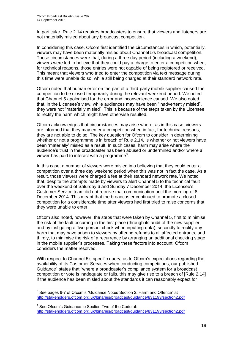In particular, Rule 2.14 requires broadcasters to ensure that viewers and listeners are not materially misled about any broadcast competition.

In considering this case, Ofcom first identified the circumstances in which, potentially, viewers may have been materially misled about Channel 5's broadcast competition. Those circumstances were that, during a three day period (including a weekend), viewers were led to believe that they could pay a charge to enter a competition when, for technical reasons, those entries were not capable of being registered or received. This meant that viewers who tried to enter the competition via text message during this time were unable do so, while still being charged at their standard network rate.

Ofcom noted that human error on the part of a third-party mobile supplier caused the competition to be closed temporarily during the relevant weekend period. We noted that Channel 5 apologised for the error and inconvenience caused. We also noted that, in the Licensee's view, while audiences may have been "inadvertently misled", they were not "materially misled". This is because of the steps taken by the Licensee to rectify the harm which might have otherwise resulted.

Ofcom acknowledges that circumstances may arise where, as in this case, viewers are informed that they may enter a competition when in fact, for technical reasons, they are not able to do so. The key question for Ofcom to consider in determining whether or not a programme is in breach of Rule 2.14, is whether or not viewers have been 'materially' misled as a result. In such cases, harm may arise where the audience's trust in the broadcaster has been abused or undermined and/or where a viewer has paid to interact with a programme $3$ .

In this case, a number of viewers were misled into believing that they could enter a competition over a three day weekend period when this was not in fact the case. As a result, those viewers were charged a fee at their standard network rate. We noted that, despite the attempts made by viewers to alert Channel 5 to the technical fault over the weekend of Saturday 6 and Sunday 7 December 2014, the Licensee's Customer Service team did not receive that communication until the morning of 8 December 2014. This meant that the broadcaster continued to promote a closed competition for a considerable time after viewers had first tried to raise concerns that they were unable to enter.

Ofcom also noted, however, the steps that were taken by Channel 5, first to minimise the risk of the fault occurring in the first place (through its audit of the new supplier and by instigating a 'two person' check when inputting data), secondly to rectify any harm that may have arisen to viewers by offering refunds to all affected entrants, and thirdly, to minimise the risk of a recurrence by arranging an additional checking stage in the mobile supplier's processes. Taking these factors into account, Ofcom considers the matter resolved.

With respect to Channel 5's specific query, as to Ofcom's expectations regarding the availability of its Customer Services when conducting competitions, our published Guidance<sup>4</sup> states that "where a broadcaster's compliance system for a broadcast competition or vote is inadequate or fails, this may give rise to a breach of [Rule 2.14] if the audience has been misled about the standards it can reasonably expect for

<sup>1</sup>  $3$  See pages 6-7 of Ofcom's "Guidance Notes Section 2: Harm and Offence" at <http://stakeholders.ofcom.org.uk/binaries/broadcast/guidance/831193/section2.pdf>

<sup>&</sup>lt;sup>4</sup> See Ofcom's Guidance to Section Two of the Code at: <http://stakeholders.ofcom.org.uk/binaries/broadcast/guidance/831193/section2.pdf>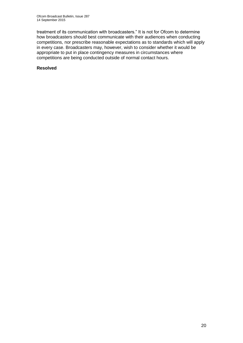treatment of its communication with broadcasters." It is not for Ofcom to determine how broadcasters should best communicate with their audiences when conducting competitions, nor prescribe reasonable expectations as to standards which will apply in every case. Broadcasters may, however, wish to consider whether it would be appropriate to put in place contingency measures in circumstances where competitions are being conducted outside of normal contact hours.

#### **Resolved**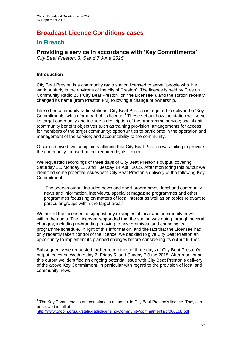# **Broadcast Licence Conditions cases**

## **In Breach**

## **Providing a service in accordance with 'Key Commitments'**

*City Beat Preston, 3, 5 and 7 June 2015*

## **Introduction**

1

City Beat Preston is a community radio station licensed to serve "people who live, work or study in the environs of the city of Preston". The licence is held by Preston Community Radio 23 ("City Beat Preston" or "the Licensee"), and the station recently changed its name (from Preston FM) following a change of ownership.

Like other community radio stations, City Beat Preston is required to deliver the 'Key Commitments' which form part of its licence.<sup>1</sup> These set out how the station will serve its target community and include a description of the programme service; social gain (community benefit) objectives such as training provision; arrangements for access for members of the target community; opportunities to participate in the operation and management of the service; and accountability to the community.

Ofcom received two complaints alleging that City Beat Preston was failing to provide the community-focused output required by its licence.

We requested recordings of three days of City Beat Preston's output, covering Saturday 11, Monday 13, and Tuesday 14 April 2015. After monitoring this output we identified some potential issues with City Beat Preston's delivery of the following Key Commitment:

"The speech output includes news and sport programmes, local and community news and information, interviews, specialist magazine programmes and other programmes focussing on matters of local interest as well as on topics relevant to particular groups within the target area."

We asked the Licensee to signpost any examples of local and community news within the audio. The Licensee responded that the station was going through several changes, including re-branding, moving to new premises, and changing its programme schedule. In light of this information, and the fact that the Licensee had only recently taken control of the licence, we decided to give City Beat Preston an opportunity to implement its planned changes before considering its output further.

Subsequently we requested further recordings of three days of City Beat Preston's output, covering Wednesday 3, Friday 5, and Sunday 7 June 2015. After monitoring this output we identified an ongoing potential issue with City Beat Preston's delivery of the above Key Commitment, in particular with regard to the provision of local and community news.

 $1$  The Key Commitments are contained in an annex to City Beat Preston's licence. They can be viewed in full at:

[http://www.ofcom.org.uk/static/radiolicensing/Community/commitments/cr000158.pdf.](http://www.ofcom.org.uk/static/radiolicensing/Community/commitments/cr000158.pdf)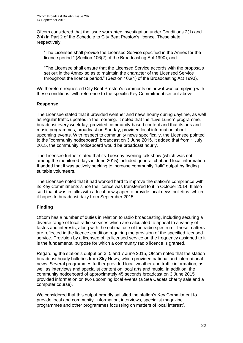Ofcom considered that the issue warranted investigation under Conditions 2(1) and 2(4) in Part 2 of the Schedule to City Beat Preston's licence. These state, respectively:

"The Licensee shall provide the Licensed Service specified in the Annex for the licence period." (Section 106(2) of the Broadcasting Act 1990); and

"The Licensee shall ensure that the Licensed Service accords with the proposals set out in the Annex so as to maintain the character of the Licensed Service throughout the licence period." (Section 106(1) of the Broadcasting Act 1990).

We therefore requested City Beat Preston's comments on how it was complying with these conditions, with reference to the specific Key Commitment set out above.

## **Response**

The Licensee stated that it provided weather and news hourly during daytime, as well as regular traffic updates in the morning. It noted that the "Live Lunch" programme, broadcast every weekday, provided community-based content and that its arts and music programmes, broadcast on Sunday, provided local information about upcoming events. With respect to community news specifically, the Licensee pointed to the "community noticeboard" broadcast on 3 June 2015. It added that from 1 July 2015, the community noticeboard would be broadcast hourly.

The Licensee further stated that its Tuesday evening talk show (which was not among the monitored days in June 2015) included general chat and local information. It added that it was actively seeking to increase community "talk" output by finding suitable volunteers.

The Licensee noted that it had worked hard to improve the station's compliance with its Key Commitments since the licence was transferred to it in October 2014. It also said that it was in talks with a local newspaper to provide local news bulletins, which it hopes to broadcast daily from September 2015.

## **Finding**

Ofcom has a number of duties in relation to radio broadcasting, including securing a diverse range of local radio services which are calculated to appeal to a variety of tastes and interests, along with the optimal use of the radio spectrum. These matters are reflected in the licence condition requiring the provision of the specified licensed service. Provision by a licensee of its licensed service on the frequency assigned to it is the fundamental purpose for which a community radio licence is granted.

Regarding the station's output on 3, 5 and 7 June 2015, Ofcom noted that the station broadcast hourly bulletins from Sky News, which provided national and international news. Several programmes further provided local weather and traffic information, as well as interviews and specialist content on local arts and music. In addition, the community noticeboard of approximately 45 seconds broadcast on 3 June 2015 provided information on two upcoming local events (a Sea Cadets charity sale and a computer course).

We considered that this output broadly satisfied the station's Key Commitment to provide local and community "information, interviews, specialist magazine programmes and other programmes focussing on matters of local interest".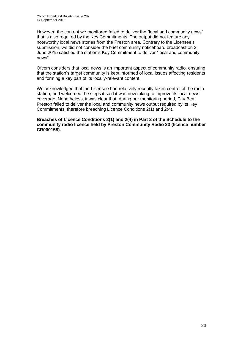However, the content we monitored failed to deliver the "local and community news" that is also required by the Key Commitments. The output did not feature any noteworthy local news stories from the Preston area. Contrary to the Licensee's submission, we did not consider the brief community noticeboard broadcast on 3 June 2015 satisfied the station's Key Commitment to deliver "local and community news".

Ofcom considers that local news is an important aspect of community radio, ensuring that the station's target community is kept informed of local issues affecting residents and forming a key part of its locally-relevant content.

We acknowledged that the Licensee had relatively recently taken control of the radio station, and welcomed the steps it said it was now taking to improve its local news coverage. Nonetheless, it was clear that, during our monitoring period, City Beat Preston failed to deliver the local and community news output required by its Key Commitments, therefore breaching Licence Conditions 2(1) and 2(4).

**Breaches of Licence Conditions 2(1) and 2(4) in Part 2 of the Schedule to the community radio licence held by Preston Community Radio 23 (licence number CR000158).**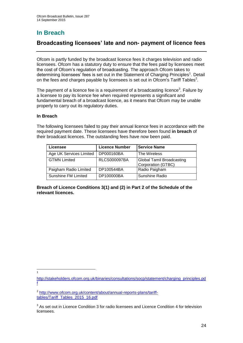# **In Breach**

## **Broadcasting licensees' late and non- payment of licence fees**

Ofcom is partly funded by the broadcast licence fees it charges television and radio licensees. Ofcom has a statutory duty to ensure that the fees paid by licensees meet the cost of Ofcom's regulation of broadcasting. The approach Ofcom takes to determining licensees' fees is set out in the Statement of Charging Principles<sup>1</sup>. Detail on the fees and charges payable by licensees is set out in Ofcom's Tariff Tables<sup>2</sup>.

The payment of a licence fee is a requirement of a broadcasting licence<sup>3</sup>. Failure by a licensee to pay its licence fee when required represents a significant and fundamental breach of a broadcast licence, as it means that Ofcom may be unable properly to carry out its regulatory duties.

## **In Breach**

The following licensees failed to pay their annual licence fees in accordance with the required payment date. These licensees have therefore been found **in breach** of their broadcast licences. The outstanding fees have now been paid.

| Licensee                | <b>Licence Number</b> | <b>Service Name</b>                                    |
|-------------------------|-----------------------|--------------------------------------------------------|
| Age UK Services Limited | DP000160BA            | l The Wireless                                         |
| <b>GTMN Limited</b>     | <b>RLCS000097BA</b>   | <b>Global Tamil Broadcasting</b><br>Corporation (GTBC) |
| Paigham Radio Limited   | DP100544BA            | Radio Paigham                                          |
| Sunshine FM Limited     | DP100000BA            | <b>Sunshine Radio</b>                                  |

**Breach of Licence Conditions 3(1) and (2) in Part 2 of the Schedule of the relevant licences.**

1 1

[http://stakeholders.ofcom.org.uk/binaries/consultations/socp/statement/charging\\_principles.pd](http://stakeholders.ofcom.org.uk/binaries/consultations/socp/statement/charging_principles.pdf) [f](http://stakeholders.ofcom.org.uk/binaries/consultations/socp/statement/charging_principles.pdf)

<sup>&</sup>lt;sup>2</sup> [http://www.ofcom.org.uk/content/about/annual-reports-plans/tariff](http://www.ofcom.org.uk/content/about/annual-reports-plans/tariff-tables/Tariff_Tables_2015_16.pdf)[tables/Tariff\\_Tables\\_2015\\_16.pdf](http://www.ofcom.org.uk/content/about/annual-reports-plans/tariff-tables/Tariff_Tables_2015_16.pdf)

 $3$  As set out in Licence Condition 3 for radio licensees and Licence Condition 4 for television **licensees**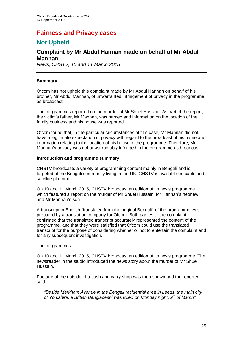# **Fairness and Privacy cases**

## **Not Upheld**

## **Complaint by Mr Abdul Hannan made on behalf of Mr Abdul Mannan**

*News, CHSTV, 10 and 11 March 2015*

## **Summary**

Ofcom has not upheld this complaint made by Mr Abdul Hannan on behalf of his brother, Mr Abdul Mannan, of unwarranted infringement of privacy in the programme as broadcast.

The programmes reported on the murder of Mr Shuel Hussein. As part of the report, the victim's father, Mr Mannan, was named and information on the location of the family business and his house was reported.

Ofcom found that, in the particular circumstances of this case, Mr Mannan did not have a legitimate expectation of privacy with regard to the broadcast of his name and information relating to the location of his house in the programme. Therefore, Mr Mannan's privacy was not unwarrantably infringed in the programme as broadcast.

#### **Introduction and programme summary**

CHSTV broadcasts a variety of programming content mainly in Bengali and is targeted at the Bengali community living in the UK. CHSTV is available on cable and satellite platforms.

On 10 and 11 March 2015, CHSTV broadcast an edition of its news programme which featured a report on the murder of Mr Shuel Hussain, Mr Hannan's nephew and Mr Mannan's son.

A transcript in English (translated from the original Bengali) of the programme was prepared by a translation company for Ofcom. Both parties to the complaint confirmed that the translated transcript accurately represented the content of the programme, and that they were satisfied that Ofcom could use the translated transcript for the purpose of considering whether or not to entertain the complaint and for any subsequent investigation.

#### The programmes

On 10 and 11 March 2015, CHSTV broadcast an edition of its news programme. The newsreader in the studio introduced the news story about the murder of Mr Shuel Hussain.

Footage of the outside of a cash and carry shop was then shown and the reporter said:

*"Beside Markham Avenue in the Bengali residential area in Leeds, the main city of Yorkshire, a British Bangladeshi was killed on Monday night, 9th of March".*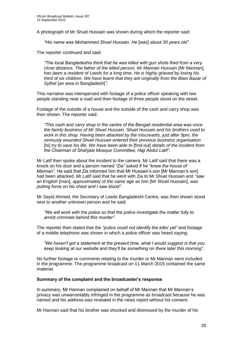A photograph of Mr Shuel Hussain was shown during which the reporter said:

*"His name was Mohammed Shuel Hussain. He* [was] *about 30 years old".*

The reporter continued and said:

*"The local Bangladeshis think that he was killed with gun shots fired from a very close distance. The father of the killed person, Mr Mannan Hussain* [Mr Mannan]*, has been a resident of Leeds for a long time. He is highly grieved by losing his third of six children. We have learnt that they are originally from the Biani Bazar of Sylhet* [an area in Bangladesh]*"*.

This narrative was interspersed with footage of a police officer speaking with two people standing near a road and then footage of three people stood on the street.

Footage of the outside of a house and the outside of the cash and carry shop was then shown. The reporter said:

*"This cash and carry shop in the centre of the Bengali residential area was once the family business of Mr Shuel Hussain. Shuel Hussain and his brothers used to work in this shop. Having been attacked by the miscreants, just after 9pm, the seriously wounded Shuel Hussain entered their previous business organisation*  [to] *try to save his life. We have been able to* [find out] *details of the incident from the Chairman of Shahjala Mosque Committee, Haji Abdul Latif".*

Mr Latif then spoke about the incident to the camera. Mr Latif said that there was a knock on his door and a person named *"Zia"* asked if he *"knew the house of Mannan".* He said that Zia informed him that Mr Hussain's son [Mr Mannan's son] had been attacked. Mr Latif said that he went with Zia to Mr Shuel Hussain and *"saw an English* [man], *approximately of the same age as him* [Mr Shuel Hussain]*, was putting force on his chest and I saw blood".* 

Mr Sayid Ahmed, the Secretary of Leeds Bangladeshi Centre, was then shown stood next to another unknown person and he said:

*"We will work with the police so that the police investigate the matter fully to arrest criminals behind this murder".* 

The reporter then stated that the *"police could not identify the killer yet"* and footage of a mobile telephone was shown in which a police officer was heard saying:

*"We haven't got a statement at the present time, what I would suggest is that you keep looking at our website and they'll be something on there later this morning".* 

No further footage or comments relating to the murder or Mr Mannan were included in the programme. The programme broadcast on 11 March 2015 contained the same material.

#### **Summary of the complaint and the broadcaster's response**

In summary, Mr Hannan complained on behalf of Mr Mannan that Mr Mannan's privacy was unwarrantably infringed in the programme as broadcast because he was named and his address was revealed in the news report without his consent.

Mr Hannan said that his brother was shocked and distressed by the murder of his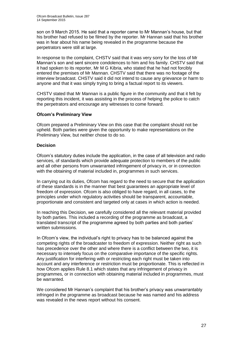son on 9 March 2015. He said that a reporter came to Mr Mannan's house, but that his brother had refused to be filmed by the reporter. Mr Hannan said that his brother was in fear about his name being revealed in the programme because the perpetrators were still at large.

In response to the complaint, CHSTV said that it was very sorry for the loss of Mr Mannan's son and sent sincere condolences to him and his family. CHSTV said that it had spoken to its reporter, Mr M G Kibria, who stated that he had not forcibly entered the premises of Mr Mannan. CHSTV said that there was no footage of the interview broadcast. CHSTV said it did not intend to cause any grievance or harm to anyone and that it was simply trying to bring a factual report to its viewers.

CHSTV stated that Mr Mannan is a public figure in the community and that it felt by reporting this incident, it was assisting in the process of helping the police to catch the perpetrators and encourage any witnesses to come forward.

## **Ofcom's Preliminary View**

Ofcom prepared a Preliminary View on this case that the complaint should not be upheld. Both parties were given the opportunity to make representations on the Preliminary View, but neither chose to do so.

## **Decision**

Ofcom's statutory duties include the application, in the case of all television and radio services, of standards which provide adequate protection to members of the public and all other persons from unwarranted infringement of privacy in, or in connection with the obtaining of material included in, programmes in such services.

In carrying out its duties, Ofcom has regard to the need to secure that the application of these standards is in the manner that best guarantees an appropriate level of freedom of expression. Ofcom is also obliged to have regard, in all cases, to the principles under which regulatory activities should be transparent, accountable, proportionate and consistent and targeted only at cases in which action is needed.

In reaching this Decision, we carefully considered all the relevant material provided by both parties. This included a recording of the programme as broadcast, a translated transcript of the programme agreed by both parties and both parties' written submissions.

In Ofcom's view, the individual's right to privacy has to be balanced against the competing rights of the broadcaster to freedom of expression. Neither right as such has precedence over the other and where there is a conflict between the two, it is necessary to intensely focus on the comparative importance of the specific rights. Any justification for interfering with or restricting each right must be taken into account and any interference or restriction must be proportionate. This is reflected in how Ofcom applies Rule 8.1 which states that any infringement of privacy in programmes, or in connection with obtaining material included in programmes, must be warranted.

We considered Mr Hannan's complaint that his brother's privacy was unwarrantably infringed in the programme as broadcast because he was named and his address was revealed in the news report without his consent.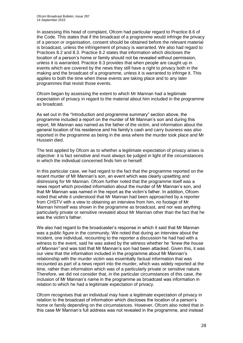In assessing this head of complaint, Ofcom had particular regard to Practice 8.6 of the Code. This states that if the broadcast of a programme would infringe the privacy of a person or organisation, consent should be obtained before the relevant material is broadcast, unless the infringement of privacy is warranted. We also had regard to Practices 8.2 and 8.3. Practice 8.2 states that information which discloses the location of a person's home or family should not be revealed without permission, unless it is warranted. Practice 8.3 provides that when people are caught up in events which are covered by the news they still have a right to privacy both in the making and the broadcast of a programme, unless it is warranted to infringe it. This applies to both the time when these events are taking place and to any later programmes that revisit those events.

Ofcom began by assessing the extent to which Mr Mannan had a legitimate expectation of privacy in regard to the material about him included in the programme as broadcast.

As set out in the "Introduction and programme summary" section above, the programme included a report on the murder of Mr Mannan's son and during this report, Mr Mannan was named as the father of the victim, and information about the general location of his residence and his family's cash and carry business was also reported in the programme as being in the area where the murder took place and Mr Hussein died.

The test applied by Ofcom as to whether a legitimate expectation of privacy arises is objective: it is fact sensitive and must always be judged in light of the circumstances in which the individual concerned finds him or herself.

In this particular case, we had regard to the fact that the programme reported on the recent murder of Mr Mannan's son, an event which was clearly upsetting and distressing for Mr Mannan. Ofcom further noted that the programme itself was a news report which provided information about the murder of Mr Mannan's son, and that Mr Mannan was named in the report as the victim's father. In addition, Ofcom noted that while it understood that Mr Mannan had been approached by a reporter from CHSTV with a view to obtaining an interview from him, no footage of Mr Mannan himself was shown in the programme as broadcast, and nor was anything particularly private or sensitive revealed about Mr Mannan other than the fact that he was the victim's father

We also had regard to the broadcaster's response in which it said that Mr Mannan was a public figure in the community. We noted that during an interview about the incident, one individual, recounting to the reporter a discussion he had had with a witness to the event, said he was asked by the witness whether he *"knew the house of Mannan"* and was told that Mr Mannan's son had been attacked. Given this, it was our view that the information included in the programme about Mr Mannan's relationship with the murder victim was essentially factual information that was recounted as part of a news report into the murder, which was widely reported at the time, rather than information which was of a particularly private or sensitive nature. Therefore, we did not consider that, in the particular circumstances of this case, the inclusion of Mr Mannan's name in the programme as broadcast was information in relation to which he had a legitimate expectation of privacy.

Ofcom recognises that an individual may have a legitimate expectation of privacy in relation to the broadcast of information which discloses the location of a person's home or family depending on the circumstances. However, Ofcom also noted that in this case Mr Mannan's full address was not revealed in the programme, and instead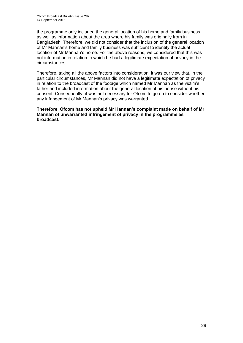the programme only included the general location of his home and family business, as well as information about the area where his family was originally from in Bangladesh. Therefore, we did not consider that the inclusion of the general location of Mr Mannan's home and family business was sufficient to identify the actual location of Mr Mannan's home. For the above reasons, we considered that this was not information in relation to which he had a legitimate expectation of privacy in the circumstances.

Therefore, taking all the above factors into consideration, it was our view that, in the particular circumstances, Mr Mannan did not have a legitimate expectation of privacy in relation to the broadcast of the footage which named Mr Mannan as the victim's father and included information about the general location of his house without his consent. Consequently, it was not necessary for Ofcom to go on to consider whether any infringement of Mr Mannan's privacy was warranted.

**Therefore, Ofcom has not upheld Mr Hannan's complaint made on behalf of Mr Mannan of unwarranted infringement of privacy in the programme as broadcast.**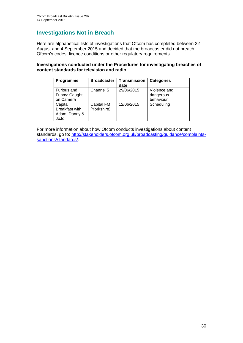## **Investigations Not in Breach**

Here are alphabetical lists of investigations that Ofcom has completed between 22 August and 4 September 2015 and decided that the broadcaster did not breach Ofcom's codes, licence conditions or other regulatory requirements.

## **Investigations conducted under the Procedures for investigating breaches of content standards for television and radio**

| Programme                                          | <b>Broadcaster</b>        | Transmission<br>date | <b>Categories</b>                      |
|----------------------------------------------------|---------------------------|----------------------|----------------------------------------|
| Furious and<br>Funny: Caught<br>on Camera          | Channel 5                 | 29/06/2015           | Violence and<br>dangerous<br>behaviour |
| Capital<br>Breakfast with<br>Adam, Danny &<br>JoJo | Capital FM<br>(Yorkshire) | 12/06/2015           | Scheduling                             |

For more information about how Ofcom conducts investigations about content standards, go to: [http://stakeholders.ofcom.org.uk/broadcasting/guidance/complaints](http://stakeholders.ofcom.org.uk/broadcasting/guidance/complaints-sanctions/standards/)[sanctions/standards/.](http://stakeholders.ofcom.org.uk/broadcasting/guidance/complaints-sanctions/standards/)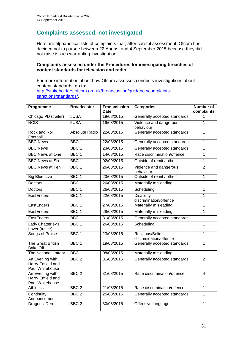## **Complaints assessed, not investigated**

Here are alphabetical lists of complaints that, after careful assessment, Ofcom has decided not to pursue between 22 August and 4 September 2015 because they did not raise issues warranting investigation.

## **Complaints assessed under the Procedures for investigating breaches of content standards for television and radio**

For more information about how Ofcom assesses conducts investigations about content standards, go to: [http://stakeholders.ofcom.org.uk/broadcasting/guidance/complaints](http://stakeholders.ofcom.org.uk/broadcasting/guidance/complaints-sanctions/standards/)[sanctions/standards/.](http://stakeholders.ofcom.org.uk/broadcasting/guidance/complaints-sanctions/standards/)

| Programme                                               | <b>Broadcaster</b> | <b>Transmission</b><br>Date | <b>Categories</b>                           | <b>Number of</b><br>complaints |
|---------------------------------------------------------|--------------------|-----------------------------|---------------------------------------------|--------------------------------|
| Chicago PD (trailer)                                    | 5USA               | 19/08/2015                  | Generally accepted standards                | 1                              |
| <b>NCIS</b>                                             | 5USA               | 19/08/2015                  | Violence and dangerous<br>behaviour         | 1                              |
| Rock and Roll<br>Football                               | Absolute Radio     | 22/08/2015                  | Generally accepted standards                | 1                              |
| <b>BBC News</b>                                         | BBC <sub>1</sub>   | 22/08/2015                  | Generally accepted standards                | 1                              |
| <b>BBC News</b>                                         | BBC <sub>1</sub>   | 23/08/2015                  | Generally accepted standards                | 1                              |
| <b>BBC News at One</b>                                  | BBC <sub>1</sub>   | 14/08/2015                  | Race discrimination/offence                 | 1                              |
| <b>BBC News at Six</b>                                  | BBC <sub>1</sub>   | 02/09/2015                  | Outside of remit / other                    | $\mathbf{1}$                   |
| <b>BBC News at Ten</b>                                  | BBC <sub>1</sub>   | 26/08/2015                  | Violence and dangerous<br>behaviour         | $\overline{2}$                 |
| <b>Big Blue Live</b>                                    | BBC <sub>1</sub>   | 23/08/2015                  | Outside of remit / other                    | 1                              |
| <b>Doctors</b>                                          | BBC <sub>1</sub>   | 26/08/2015                  | Materially misleading                       | 1                              |
| <b>Doctors</b>                                          | BBC <sub>1</sub>   | 26/08/2015                  | Scheduling                                  | $\mathbf 1$                    |
| EastEnders                                              | BBC <sub>1</sub>   | 22/08/2015                  | <b>Disability</b><br>discrimination/offence | 1                              |
| EastEnders                                              | BBC <sub>1</sub>   | 27/08/2015                  | Materially misleading                       | $\mathbf 1$                    |
| EastEnders                                              | BBC <sub>1</sub>   | 28/08/2015                  | Materially misleading                       | 1                              |
| EastEnders                                              | BBC <sub>1</sub>   | 31/08/2015                  | Generally accepted standards                | 1                              |
| Lady Chatterley's<br>Lover (trailer)                    | BBC <sub>1</sub>   | 26/08/2015                  | Scheduling                                  | $\overline{1}$                 |
| Songs of Praise                                         | BBC <sub>1</sub>   | 23/08/2015                  | Religious/Beliefs<br>discrimination/offence | 1                              |
| The Great British<br><b>Bake Off</b>                    | BBC <sub>1</sub>   | 19/08/2015                  | Generally accepted standards                | 1                              |
| The National Lottery                                    | BBC <sub>1</sub>   | 08/08/2015                  | Materially misleading                       | 1                              |
| An Evening with<br>Harry Enfield and<br>Paul Whitehouse | BBC <sub>2</sub>   | 31/08/2015                  | Generally accepted standards                | $\overline{2}$                 |
| An Evening with<br>Harry Enfield and<br>Paul Whitehouse | BBC <sub>2</sub>   | 31/08/2015                  | Race discrimination/offence                 | $\overline{\mathbf{4}}$        |
| <b>Athletics</b>                                        | BBC <sub>2</sub>   | 21/08/2015                  | Race discrimination/offence                 | 1                              |
| Continuity<br>Announcement                              | BBC <sub>2</sub>   | 25/08/2015                  | Generally accepted standards                | $\mathbf 1$                    |
| Dragons' Den                                            | BBC <sub>2</sub>   | 30/08/2015                  | Offensive language                          | $\mathbf{1}$                   |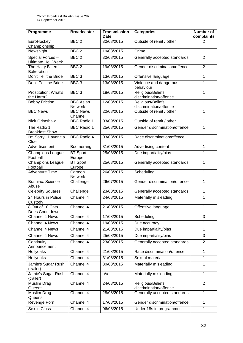| Programme                                     | <b>Broadcaster</b>                 | <b>Transmission</b><br><b>Date</b> | <b>Categories</b>                           | Number of<br>complaints |
|-----------------------------------------------|------------------------------------|------------------------------------|---------------------------------------------|-------------------------|
| EuroHockey<br>Championship                    | BBC <sub>2</sub>                   | 30/08/2015                         | Outside of remit / other                    | 2                       |
| Newsnight                                     | BBC <sub>2</sub>                   | 19/08/2015                         | Crime                                       | 1                       |
| Special Forces -<br><b>Ultimate Hell Week</b> | BBC <sub>2</sub>                   | 30/08/2015                         | Generally accepted standards                | $\overline{2}$          |
| The Hairy Bikers'<br>Bake-ation               | BBC <sub>2</sub>                   | 19/08/2015                         | Gender discrimination/offence               | $\overline{2}$          |
| Don't Tell the Bride                          | BBC <sub>3</sub>                   | 13/08/2015                         | Offensive language                          | 1                       |
| Don't Tell the Bride                          | BBC <sub>3</sub>                   | 13/08/2015                         | Violence and dangerous<br>behaviour         | 1                       |
| Prostitution: What's<br>the Harm?             | BBC <sub>3</sub>                   | 18/08/2015                         | Religious/Beliefs<br>discrimination/offence | 1                       |
| <b>Bobby Friction</b>                         | <b>BBC Asian</b><br><b>Network</b> | 12/08/2015                         | Religious/Beliefs<br>discrimination/offence | 1                       |
| <b>BBC News</b>                               | <b>BBC News</b><br>Channel         | 20/08/2015                         | Outside of remit / other                    | 1                       |
| <b>Nick Grimshaw</b>                          | <b>BBC Radio 1</b>                 | 03/09/2015                         | Outside of remit / other                    | 1                       |
| The Radio 1<br><b>Breakfast Show</b>          | <b>BBC Radio 1</b>                 | 25/08/2015                         | Gender discrimination/offence               | 1                       |
| I'm Sorry I Haven't a<br>Clue                 | <b>BBC Radio 4</b>                 | 03/08/2015                         | Race discrimination/offence                 | 1                       |
| Advertisement                                 | Boomerang                          | 31/08/2015                         | Advertising content                         | 1                       |
| <b>Champions League</b><br>Football           | <b>BT</b> Sport<br>Europe          | 25/08/2015                         | Due impartiality/bias                       | 1                       |
| <b>Champions League</b><br>Football           | <b>BT Sport</b><br>Europe          | 25/08/2015                         | Generally accepted standards                | 1                       |
| Adventure Time                                | Cartoon<br>Network                 | 26/08/2015                         | Scheduling                                  | 1                       |
| <b>Brainiac: Science</b><br>Abuse             | Challenge                          | 26/07/2015                         | Gender discrimination/offence               | 1                       |
| <b>Celebrity Squares</b>                      | Challenge                          | 23/08/2015                         | Generally accepted standards                | 1                       |
| 24 Hours in Police<br>Custody                 | Channel 4                          | 24/08/2015                         | Materially misleading                       | 1                       |
| 8 Out of 10 Cats<br>Does Countdown            | Channel 4                          | 21/08/2015                         | Offensive language                          | 1                       |
| Channel 4 News                                | Channel 4                          | 17/08/2015                         | Scheduling                                  | 3                       |
| Channel 4 News                                | Channel 4                          | 19/08/2015                         | Due accuracy                                | 1                       |
| <b>Channel 4 News</b>                         | Channel 4                          | 21/08/2015                         | Due impartiality/bias                       | 1                       |
| Channel 4 News                                | Channel 4                          | 25/08/2015                         | Due impartiality/bias                       | 3                       |
| Continuity<br>Announcement                    | Channel 4                          | 23/08/2015                         | Generally accepted standards                | $\overline{2}$          |
| Hollyoaks                                     | Channel 4                          | 21/08/2015                         | Race discrimination/offence                 | 1                       |
| Hollyoaks                                     | Channel 4                          | 31/08/2015                         | Sexual material                             | 1                       |
| Jamie's Sugar Rush<br>(trailer)               | Channel $4$                        | 30/08/2015                         | Materially misleading                       | 1                       |
| Jamie's Sugar Rush<br>(trailer)               | Channel 4                          | n/a                                | Materially misleading                       | 1                       |
| Muslim Drag<br>Queens                         | Channel 4                          | 24/08/2015                         | Religious/Beliefs<br>discrimination/offence | $\overline{2}$          |
| Muslim Drag<br>Queens                         | Channel 4                          | 28/08/2015                         | Generally accepted standards                | 1                       |
| Revenge Porn                                  | Channel 4                          | 17/08/2015                         | Gender discrimination/offence               | 1                       |
| Sex in Class                                  | Channel 4                          | 06/08/2015                         | Under 18s in programmes                     | 1                       |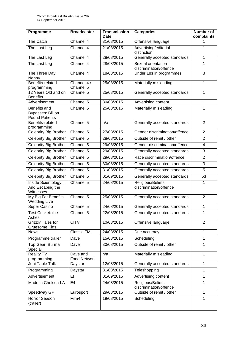| Programme                                                         | <b>Broadcaster</b>              | <b>Transmission</b><br><b>Date</b> | <b>Categories</b>                            | <b>Number of</b><br>complaints |
|-------------------------------------------------------------------|---------------------------------|------------------------------------|----------------------------------------------|--------------------------------|
| The Catch                                                         | Channel $4$                     | 31/08/2015                         | Offensive language                           | 1                              |
| The Last Leg                                                      | Channel 4                       | 21/08/2015                         | Advertising/editorial<br>distinction         | $\mathbf 1$                    |
| The Last Leg                                                      | Channel 4                       | 28/08/2015                         | Generally accepted standards                 | $\mathbf{1}$                   |
| The Last Leg                                                      | Channel 4                       | 28/08/2015                         | Sexual orientation<br>discrimination/offence | $\mathbf{1}$                   |
| The Three Day<br>Nanny                                            | Channel 4                       | 18/08/2015                         | Under 18s in programmes                      | 8                              |
| Benefits-related<br>programming                                   | Channel 4 /<br>Channel 5        | 25/08/2015                         | Materially misleading                        | 1                              |
| 12 Years Old and on<br><b>Benefits</b>                            | Channel 5                       | 25/08/2015                         | Generally accepted standards                 | $\mathbf{1}$                   |
| Advertisement                                                     | Channel 5                       | 30/08/2015                         | Advertising content                          | 1                              |
| Benefits and<br><b>Bypasses: Billion</b><br><b>Pound Patients</b> | Channel 5                       | 25/08/2015                         | Materially misleading                        | $\mathbf{1}$                   |
| Benefits-related<br>programming                                   | Channel 5                       | n/a                                | Generally accepted standards                 | $\overline{2}$                 |
| Celebrity Big Brother                                             | Channel 5                       | 27/08/2015                         | Gender discrimination/offence                | $\overline{2}$                 |
| Celebrity Big Brother                                             | Channel 5                       | 28/08/2015                         | Outside of remit / other                     | $\overline{2}$                 |
| <b>Celebrity Big Brother</b>                                      | Channel 5                       | 29/08/2015                         | Gender discrimination/offence                | $\overline{4}$                 |
| Celebrity Big Brother                                             | Channel 5                       | 29/08/2015                         | Generally accepted standards                 | 3                              |
| Celebrity Big Brother                                             | Channel 5                       | 29/08/2015                         | Race discrimination/offence                  | $\overline{2}$                 |
| <b>Celebrity Big Brother</b>                                      | Channel 5                       | 30/08/2015                         | Generally accepted standards                 | 3                              |
| <b>Celebrity Big Brother</b>                                      | Channel 5                       | 31/08/2015                         | Generally accepted standards                 | 5                              |
| <b>Celebrity Big Brother</b>                                      | Channel 5                       | 01/09/2015                         | Generally accepted standards                 | 53                             |
| Inside Scientology<br>And Escaping the<br>Witnesses               | Channel 5                       | 24/08/2015                         | Religious/Beliefs<br>discrimination/offence  | 1                              |
| My Big Fat Benefits<br><b>Wedding Live</b>                        | Channel 5                       | 25/08/2015                         | Generally accepted standards                 | $\overline{2}$                 |
| Super Casino                                                      | Channel 5                       | 24/08/2015                         | Generally accepted standards                 | 1                              |
| Test Cricket: the<br>Ashes                                        | Channel 5                       | 22/08/2015                         | Generally accepted standards                 | 1                              |
| <b>Grizzly Tales for</b><br>Gruesome Kids                         | <b>CITV</b>                     | 10/08/2015                         | Offensive language                           | $\overline{2}$                 |
| <b>News</b>                                                       | Classic FM                      | 24/08/2015                         | Due accuracy                                 | $\mathbf{1}$                   |
| Programme trailer                                                 | Dave                            | 15/08/2015                         | Scheduling                                   | 1                              |
| Top Gear: Burma<br>Special                                        | Dave                            | 30/08/2015                         | Outside of remit / other                     | 1                              |
| <b>Reality TV</b><br>programming                                  | Dave and<br><b>Food Network</b> | n/a                                | Materially misleading                        | 1                              |
| Joni Table Talk                                                   | Daystar                         | 12/08/2015                         | Generally accepted standards                 | 1                              |
| Programming                                                       | Daystar                         | 31/08/2015                         | Teleshopping                                 | 1                              |
| Advertisement                                                     | E!                              | 01/09/2015                         | Advertising content                          | 1                              |
| Made in Chelsea LA                                                | E <sub>4</sub>                  | 24/08/2015                         | Religious/Beliefs<br>discrimination/offence  | 1                              |
| Speedway GP                                                       | Eurosport                       | 29/08/2015                         | Outside of remit / other                     | 1                              |
| Horror Season<br>(trailer)                                        | Film4                           | 19/08/2015                         | Scheduling                                   | $\mathbf{1}$                   |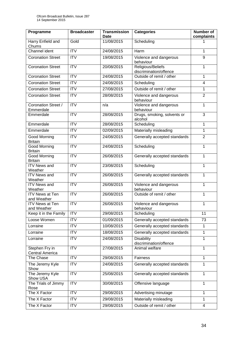| Programme                                | <b>Broadcaster</b>     | <b>Transmission</b><br><b>Date</b> | <b>Categories</b>                           | Number of<br>complaints |
|------------------------------------------|------------------------|------------------------------------|---------------------------------------------|-------------------------|
| Harry Enfield and<br>Chums               | Gold                   | 11/08/2015                         | Scheduling                                  |                         |
| Channel ident                            | $\overline{ITV}$       | 24/08/2015                         | Harm                                        | 1                       |
| <b>Coronation Street</b>                 | $\overline{IV}$        | 19/08/2015                         | Violence and dangerous<br>behaviour         | 9                       |
| <b>Coronation Street</b>                 | <b>ITV</b>             | 20/08/2015                         | Religious/Beliefs<br>discrimination/offence | 1                       |
| <b>Coronation Street</b>                 | $\overline{IV}$        | 24/08/2015                         | Outside of remit / other                    | 1                       |
| <b>Coronation Street</b>                 | <b>ITV</b>             | 24/08/2015                         | Scheduling                                  | $\overline{4}$          |
| <b>Coronation Street</b>                 | $\overline{\text{IV}}$ | 27/08/2015                         | Outside of remit / other                    | 1                       |
| <b>Coronation Street</b>                 | <b>ITV</b>             | 28/08/2015                         | Violence and dangerous<br>behaviour         | $\overline{2}$          |
| Coronation Street /<br>Emmerdale         | $\overline{ITV}$       | n/a                                | Violence and dangerous<br>behaviour         | 1                       |
| Emmerdale                                | <b>ITV</b>             | 28/08/2015                         | Drugs, smoking, solvents or<br>alcohol      | 3                       |
| Emmerdale                                | <b>ITV</b>             | 28/08/2015                         | Scheduling                                  | 1                       |
| Emmerdale                                | $\overline{IV}$        | 02/09/2015                         | Materially misleading                       | 1                       |
| Good Morning<br><b>Britain</b>           | <b>ITV</b>             | 24/08/2015                         | Generally accepted standards                | $\overline{2}$          |
| <b>Good Morning</b><br><b>Britain</b>    | <b>ITV</b>             | 24/08/2015                         | Scheduling                                  | 1                       |
| Good Morning<br><b>Britain</b>           | <b>ITV</b>             | 26/08/2015                         | Generally accepted standards                | 1                       |
| <b>ITV News and</b><br>Weather           | $\overline{\text{IV}}$ | 23/08/2015                         | Scheduling                                  | 1                       |
| <b>ITV News and</b><br>Weather           | $\overline{\text{IV}}$ | 26/08/2015                         | Generally accepted standards                | 1                       |
| <b>ITV News and</b><br>Weather           | <b>ITV</b>             | 26/08/2015                         | Violence and dangerous<br>behaviour         | 1                       |
| <b>ITV News at Ten</b><br>and Weather    | $\overline{IV}$        | 26/08/2015                         | Outside of remit / other                    | 1                       |
| <b>ITV News at Ten</b><br>and Weather    | $\overline{ITV}$       | 26/08/2015                         | Violence and dangerous<br>behaviour         | 1                       |
| Keep it in the Family                    | <b>ITV</b>             | 29/08/2015                         | Scheduling                                  | 11                      |
| Loose Women                              | <b>ITV</b>             | 01/09/2015                         | Generally accepted standards                | 73                      |
| Lorraine                                 | <b>ITV</b>             | 10/08/2015                         | Generally accepted standards                | 1                       |
| Lorraine                                 | <b>ITV</b>             | 18/08/2015                         | Generally accepted standards                | 1                       |
| Lorraine                                 | <b>ITV</b>             | 24/08/2015                         | <b>Disability</b><br>discrimination/offence | 1                       |
| Stephen Fry in<br><b>Central America</b> | $\overline{IV}$        | 27/08/2015                         | Animal welfare                              | 1                       |
| The Chase                                | <b>ITV</b>             | 29/08/2015                         | Fairness                                    | 1                       |
| The Jeremy Kyle<br>Show                  | <b>ITV</b>             | 24/08/2015                         | Generally accepted standards                | 1                       |
| The Jeremy Kyle<br>Show USA              | <b>ITV</b>             | 25/08/2015                         | Generally accepted standards                | 1                       |
| The Trials of Jimmy<br>Rose              | <b>ITV</b>             | 30/08/2015                         | Offensive language                          | 1                       |
| The X Factor                             | $\overline{IV}$        | 29/08/2015                         | Advertising minutage                        | 1                       |
| The X Factor                             | <b>ITV</b>             | 29/08/2015                         | Materially misleading                       | 1                       |
| The X Factor                             | <b>ITV</b>             | 29/08/2015                         | Outside of remit / other                    | 4                       |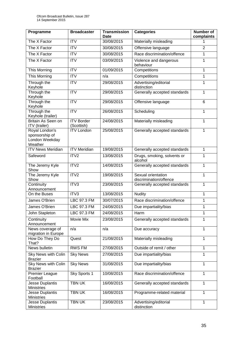| Programme                                   | <b>Broadcaster</b>              | <b>Transmission</b><br>Date | <b>Categories</b>                            | <b>Number of</b><br>complaints |
|---------------------------------------------|---------------------------------|-----------------------------|----------------------------------------------|--------------------------------|
| The X Factor                                | <b>ITV</b>                      | 30/08/2015                  | Materially misleading                        | 1                              |
| The X Factor                                | $\overline{\text{IV}}$          | 30/08/2015                  | Offensive language                           | $\overline{2}$                 |
| The X Factor                                | <b>ITV</b>                      | 30/08/2015                  | Race discrimination/offence                  | 1                              |
| The X Factor                                | <b>ITV</b>                      | 03/09/2015                  | Violence and dangerous<br>behaviour          | 1                              |
| This Morning                                | <b>ITV</b>                      | 01/09/2015                  | Competitions                                 | 1                              |
| This Morning                                | <b>ITV</b>                      | n/a                         | Competitions                                 | 1                              |
| Through the                                 | <b>ITV</b>                      | 29/08/2015                  | Advertising/editorial                        | 1                              |
| Keyhole                                     |                                 |                             | distinction                                  |                                |
| Through the                                 | <b>ITV</b>                      | 29/08/2015                  | Generally accepted standards                 | 1                              |
| Keyhole<br>Through the<br>Keyhole           | <b>ITV</b>                      | 29/08/2015                  | Offensive language                           | 6                              |
| Through the                                 | $\overline{\text{ITV}}$         | 26/08/2015                  | Scheduling                                   | 1                              |
| Keyhole (trailer)                           |                                 |                             |                                              |                                |
| Britain As Seen on                          | <b>ITV Border</b>               | 24/08/2015                  | Materially misleading                        | 1                              |
| ITV (trailer)<br>Royal London's             | (Scottish)<br><b>ITV London</b> | 25/08/2015                  | Generally accepted standards                 | 1                              |
| sponsorship of<br>London Weekday<br>Weather |                                 |                             |                                              |                                |
| <b>ITV News Meridian</b>                    | <b>ITV Meridian</b>             | 19/08/2015                  | Generally accepted standards                 | 1                              |
| Safeword                                    | ITV <sub>2</sub>                | 13/08/2015                  | Drugs, smoking, solvents or<br>alcohol       | 1                              |
| The Jeremy Kyle<br>Show                     | ITV2                            | 14/08/2015                  | Generally accepted standards                 | 1                              |
| The Jeremy Kyle<br>Show                     | ITV2                            | 19/08/2015                  | Sexual orientation<br>discrimination/offence | 1                              |
| Continuity<br>Announcement                  | ITV3                            | 23/08/2015                  | Generally accepted standards                 | 1                              |
| On the Buses                                | ITV3                            | 13/08/2015                  | <b>Nudity</b>                                | 1                              |
| James O'Brien                               | LBC 97.3 FM                     | 30/07/2015                  | Race discrimination/offence                  | 1                              |
| James O'Brien                               | <b>LBC 97.3 FM</b>              | 24/08/2015                  | Due impartiality/bias                        | 1                              |
| John Stapleton                              | LBC 97.3 FM                     | 24/08/2015                  | Harm                                         | 1                              |
| Continuity                                  | Movie Mix                       | 23/08/2015                  | Generally accepted standards                 | 1                              |
| Announcement                                |                                 |                             |                                              |                                |
| News coverage of                            | n/a                             | n/a                         | Due accuracy                                 | 1                              |
| migration in Europe<br>How Do They Do       | Quest                           | 21/08/2015                  | Materially misleading                        | 1                              |
| That?                                       |                                 |                             |                                              |                                |
| News bulletin                               | <b>RWS FM</b>                   | 27/08/2015                  | Outside of remit / other                     | 1                              |
| Sky News with Colin<br><b>Brazier</b>       | <b>Sky News</b>                 | 27/08/2015                  | Due impartiality/bias                        | 1                              |
| Sky News with Colin<br><b>Brazier</b>       | <b>Sky News</b>                 | 31/08/2015                  | Due impartiality/bias                        | 1                              |
| <b>Premier League</b><br>Football           | Sky Sports 1                    | 10/08/2015                  | Race discrimination/offence                  | 1                              |
| Jesse Duplantis                             | <b>TBN UK</b>                   | 16/08/2015                  | Generally accepted standards                 | 1                              |
| <b>Ministries</b>                           |                                 |                             |                                              |                                |
| Jesse Duplantis<br><b>Ministries</b>        | <b>TBN UK</b>                   | 16/08/2015                  | Programme-related material                   | 1                              |
| Jesse Duplantis<br><b>Ministries</b>        | <b>TBN UK</b>                   | 23/08/2015                  | Advertising/editorial<br>distinction         | 1                              |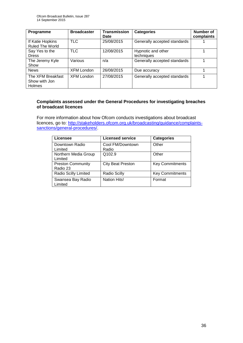| Programme                                           | <b>Broadcaster</b> | <b>Transmission</b><br>Date | <b>Categories</b>                | Number of<br>complaints |
|-----------------------------------------------------|--------------------|-----------------------------|----------------------------------|-------------------------|
| If Katie Hopkins<br><b>Ruled The World</b>          | <b>TLC</b>         | 25/08/2015                  | Generally accepted standards     |                         |
| Say Yes to the<br><b>Dress</b>                      | <b>TLC</b>         | 12/08/2015                  | Hypnotic and other<br>techniques |                         |
| The Jeremy Kyle<br>Show                             | Various            | n/a                         | Generally accepted standards     |                         |
| <b>News</b>                                         | <b>XFM London</b>  | 26/08/2015                  | Due accuracy                     |                         |
| The XFM Breakfast<br>Show with Jon<br><b>Holmes</b> | XFM London         | 27/08/2015                  | Generally accepted standards     |                         |

## **Complaints assessed under the General Procedures for investigating breaches of broadcast licences**

For more information about how Ofcom conducts investigations about broadcast licences, go to: [http://stakeholders.ofcom.org.uk/broadcasting/guidance/complaints](http://stakeholders.ofcom.org.uk/broadcasting/guidance/complaints-sanctions/general-procedures/)[sanctions/general-procedures/.](http://stakeholders.ofcom.org.uk/broadcasting/guidance/complaints-sanctions/general-procedures/)

| Licensee                             | <b>Licensed service</b>   | <b>Categories</b>      |
|--------------------------------------|---------------------------|------------------------|
| Downtown Radio<br>Limited            | Cool FM/Downtown<br>Radio | Other                  |
| Northern Media Group<br>Limited      | Q102.9                    | Other                  |
| <b>Preston Community</b><br>Radio 23 | <b>City Beat Preston</b>  | <b>Key Commitments</b> |
| Radio Scilly Limited                 | <b>Radio Scilly</b>       | <b>Key Commitments</b> |
| Swansea Bay Radio<br>Limited         | <b>Nation Hits!</b>       | Format                 |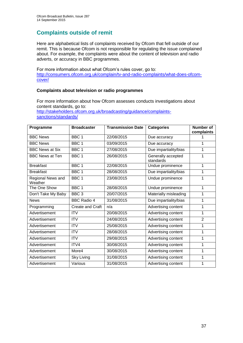## **Complaints outside of remit**

Here are alphabetical lists of complaints received by Ofcom that fell outside of our remit. This is because Ofcom is not responsible for regulating the issue complained about. For example, the complaints were about the content of television and radio adverts, or accuracy in BBC programmes.

For more information about what Ofcom's rules cover, go to: [http://consumers.ofcom.org.uk/complain/tv-and-radio-complaints/what-does-ofcom](http://consumers.ofcom.org.uk/complain/tv-and-radio-complaints/what-does-ofcom-cover/)[cover/](http://consumers.ofcom.org.uk/complain/tv-and-radio-complaints/what-does-ofcom-cover/)

## **Complaints about television or radio programmes**

For more information about how Ofcom assesses conducts investigations about content standards, go to: [http://stakeholders.ofcom.org.uk/broadcasting/guidance/complaints](http://stakeholders.ofcom.org.uk/broadcasting/guidance/complaints-sanctions/standards/)[sanctions/standards/](http://stakeholders.ofcom.org.uk/broadcasting/guidance/complaints-sanctions/standards/)

| Programme                    | <b>Broadcaster</b> | <b>Transmission Date</b> | <b>Categories</b>               | <b>Number of</b><br>complaints |
|------------------------------|--------------------|--------------------------|---------------------------------|--------------------------------|
| <b>BBC News</b>              | BBC <sub>1</sub>   | 22/08/2015               | Due accuracy                    |                                |
| <b>BBC News</b>              | BBC 1              | 03/09/2015               | Due accuracy                    | 1                              |
| <b>BBC News at Six</b>       | BBC <sub>1</sub>   | 27/08/2015               | Due impartiality/bias           | 1                              |
| <b>BBC News at Ten</b>       | BBC <sub>1</sub>   | 26/08/2015               | Generally accepted<br>standards | 1                              |
| <b>Breakfast</b>             | BBC <sub>1</sub>   | 22/08/2015               | Undue prominence                | 1                              |
| <b>Breakfast</b>             | BBC <sub>1</sub>   | 28/08/2015               | Due impartiality/bias           | 1                              |
| Regional News and<br>Weather | BBC <sub>1</sub>   | 23/08/2015               | Undue prominence                | 1                              |
| The One Show                 | BBC <sub>1</sub>   | 28/08/2015               | Undue prominence                | 1                              |
| Don't Take My Baby           | BBC <sub>3</sub>   | 20/07/2015               | Materially misleading           | 1                              |
| <b>News</b>                  | <b>BBC Radio 4</b> | 31/08/2015               | Due impartiality/bias           | 1                              |
| Programming                  | Create and Craft   | n/a                      | Advertising content             | 1                              |
| Advertisement                | <b>ITV</b>         | 20/08/2015               | Advertising content             | 1                              |
| Advertisement                | <b>ITV</b>         | 24/08/2015               | Advertising content             | $\overline{2}$                 |
| Advertisement                | <b>ITV</b>         | 25/08/2015               | Advertising content             | 1                              |
| Advertisement                | <b>ITV</b>         | 28/08/2015               | Advertising content             | 1                              |
| Advertisement                | <b>ITV</b>         | 29/08/2015               | Advertising content             | 1                              |
| Advertisement                | ITV4               | 30/08/2015               | Advertising content             | 1                              |
| Advertisement                | More4              | 30/08/2015               | Advertising content             | 1                              |
| Advertisement                | Sky Living         | 31/08/2015               | Advertising content             | 1                              |
| Advertisement                | Various            | 31/08/2015               | Advertising content             | 1                              |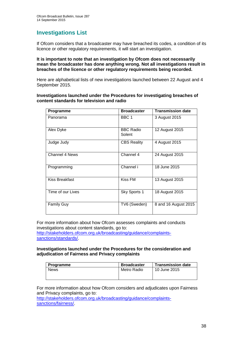## **Investigations List**

If Ofcom considers that a broadcaster may have breached its codes, a condition of its licence or other regulatory requirements, it will start an investigation.

#### **It is important to note that an investigation by Ofcom does not necessarily mean the broadcaster has done anything wrong. Not all investigations result in breaches of the licence or other regulatory requirements being recorded.**

Here are alphabetical lists of new investigations launched between 22 August and 4 September 2015.

#### **Investigations launched under the Procedures for investigating breaches of content standards for television and radio**

| Programme             | <b>Broadcaster</b>         | <b>Transmission date</b> |
|-----------------------|----------------------------|--------------------------|
| Panorama              | BBC 1                      | 3 August 2015            |
| Alex Dyke             | <b>BBC Radio</b><br>Solent | 12 August 2015           |
| Judge Judy            | <b>CBS Reality</b>         | 4 August 2015            |
| <b>Channel 4 News</b> | Channel 4                  | 24 August 2015           |
| Programming           | Channel i                  | 18 June 2015             |
| <b>Kiss Breakfast</b> | Kiss FM                    | 13 August 2015           |
| Time of our Lives     | Sky Sports 1               | 18 August 2015           |
| <b>Family Guy</b>     | TV6 (Sweden)               | 8 and 16 August 2015     |

For more information about how Ofcom assesses complaints and conducts investigations about content standards, go to:

[http://stakeholders.ofcom.org.uk/broadcasting/guidance/complaints](http://stakeholders.ofcom.org.uk/broadcasting/guidance/complaints-sanctions/standards/)[sanctions/standards/.](http://stakeholders.ofcom.org.uk/broadcasting/guidance/complaints-sanctions/standards/)

#### **Investigations launched under the Procedures for the consideration and adjudication of Fairness and Privacy complaints**

| Programme   | <b>Broadcaster</b> | <b>Transmission date</b> |
|-------------|--------------------|--------------------------|
| <b>News</b> | Metro Radio        | 10 June 2015             |
|             |                    |                          |

For more information about how Ofcom considers and adjudicates upon Fairness and Privacy complaints, go to:

[http://stakeholders.ofcom.org.uk/broadcasting/guidance/complaints](http://stakeholders.ofcom.org.uk/broadcasting/guidance/complaints-sanctions/fairness/)[sanctions/fairness/.](http://stakeholders.ofcom.org.uk/broadcasting/guidance/complaints-sanctions/fairness/)